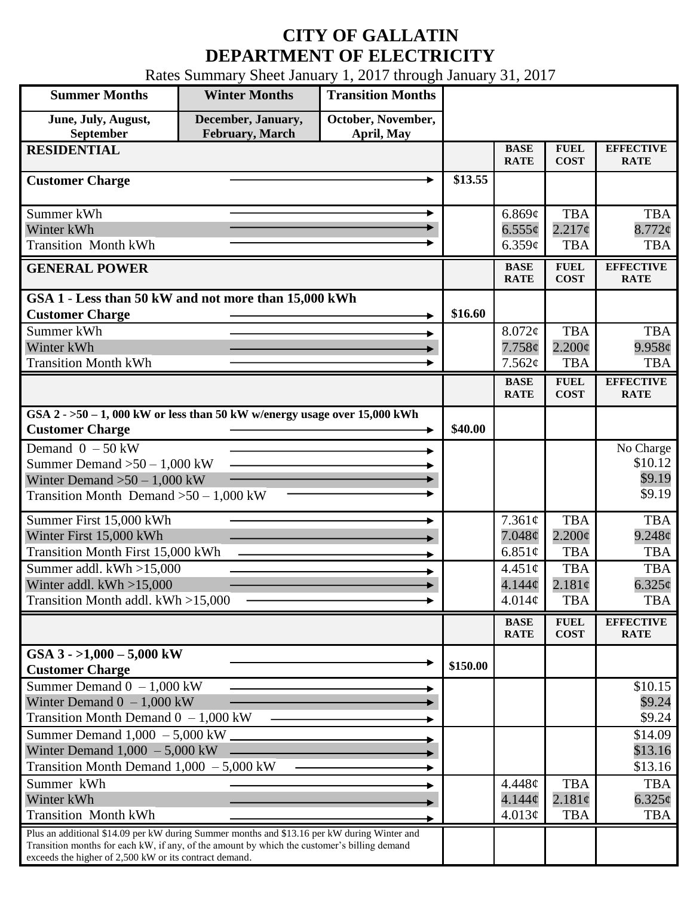## **CITY OF GALLATIN DEPARTMENT OF ELECTRICITY**

Rates Summary Sheet January 1, 2017 through January 31, 2017

| <b>Summer Months</b>                                                                                                                                                                       | <b>Winter Months</b>                         | <b>Transition Months</b>         |          |                            |                            |                                 |
|--------------------------------------------------------------------------------------------------------------------------------------------------------------------------------------------|----------------------------------------------|----------------------------------|----------|----------------------------|----------------------------|---------------------------------|
| June, July, August,<br>September                                                                                                                                                           | December, January,<br><b>February, March</b> | October, November,<br>April, May |          |                            |                            |                                 |
| <b>RESIDENTIAL</b>                                                                                                                                                                         |                                              |                                  |          | <b>BASE</b><br><b>RATE</b> | <b>FUEL</b><br><b>COST</b> | <b>EFFECTIVE</b><br><b>RATE</b> |
| <b>Customer Charge</b>                                                                                                                                                                     |                                              |                                  | \$13.55  |                            |                            |                                 |
| Summer kWh                                                                                                                                                                                 |                                              |                                  |          | 6.869¢                     | <b>TBA</b>                 | <b>TBA</b>                      |
| Winter kWh                                                                                                                                                                                 |                                              |                                  |          | $6.555\phi$                | $2.217\phi$                | $8.772$ ¢                       |
| <b>Transition Month kWh</b>                                                                                                                                                                |                                              |                                  |          | 6.359c                     | <b>TBA</b>                 | <b>TBA</b>                      |
| <b>GENERAL POWER</b>                                                                                                                                                                       |                                              |                                  |          | <b>BASE</b><br><b>RATE</b> | <b>FUEL</b><br><b>COST</b> | <b>EFFECTIVE</b><br><b>RATE</b> |
| GSA 1 - Less than 50 kW and not more than 15,000 kWh                                                                                                                                       |                                              |                                  |          |                            |                            |                                 |
| <b>Customer Charge</b>                                                                                                                                                                     |                                              |                                  | \$16.60  |                            |                            |                                 |
| Summer kWh                                                                                                                                                                                 |                                              |                                  |          | $8.072\phi$                | <b>TBA</b>                 | <b>TBA</b>                      |
| Winter kWh                                                                                                                                                                                 |                                              |                                  |          | 7.758¢                     | $2.200\phi$                | 9.958c                          |
| <b>Transition Month kWh</b>                                                                                                                                                                |                                              |                                  |          | 7.562¢                     | <b>TBA</b>                 | <b>TBA</b>                      |
|                                                                                                                                                                                            |                                              |                                  |          | <b>BASE</b><br><b>RATE</b> | <b>FUEL</b><br><b>COST</b> | <b>EFFECTIVE</b><br><b>RATE</b> |
| GSA $2 - 50 - 1$ , 000 kW or less than 50 kW w/energy usage over 15,000 kWh<br><b>Customer Charge</b>                                                                                      |                                              |                                  | \$40.00  |                            |                            |                                 |
| Demand $0 - 50$ kW                                                                                                                                                                         |                                              |                                  |          |                            |                            | No Charge                       |
| Summer Demand $>50 - 1,000$ kW                                                                                                                                                             |                                              |                                  |          |                            |                            | \$10.12                         |
| Winter Demand $>50 - 1,000$ kW                                                                                                                                                             |                                              |                                  |          |                            |                            | \$9.19                          |
| Transition Month Demand $>50-1,000$ kW                                                                                                                                                     |                                              |                                  |          |                            |                            | \$9.19                          |
| Summer First 15,000 kWh                                                                                                                                                                    |                                              |                                  |          | 7.361¢                     | <b>TBA</b>                 | <b>TBA</b>                      |
| Winter First 15,000 kWh                                                                                                                                                                    |                                              |                                  |          | 7.048¢                     | $2.200\phi$                | $9.248\phi$                     |
| <b>Transition Month First 15,000 kWh</b>                                                                                                                                                   |                                              |                                  |          | 6.851 $\phi$               | <b>TBA</b>                 | <b>TBA</b>                      |
| Summer addl. kWh >15,000                                                                                                                                                                   |                                              |                                  |          | $4.451\circ$               | <b>TBA</b>                 | <b>TBA</b>                      |
| Winter addl. $kWh > 15,000$                                                                                                                                                                |                                              |                                  |          | 4.144 <sub>c</sub>         | 2.181¢                     | $6.325\phi$                     |
| Transition Month addl. kWh >15,000                                                                                                                                                         |                                              |                                  |          | 4.014¢                     | <b>TBA</b>                 | <b>TBA</b>                      |
|                                                                                                                                                                                            |                                              |                                  |          | <b>BASE</b><br><b>RATE</b> | <b>FUEL</b><br><b>COST</b> | <b>EFFECTIVE</b><br><b>RATE</b> |
| GSA $3 - 1,000 - 5,000$ kW<br><b>Customer Charge</b>                                                                                                                                       |                                              |                                  | \$150.00 |                            |                            |                                 |
| Summer Demand $0 - 1,000$ kW                                                                                                                                                               |                                              |                                  |          |                            |                            | \$10.15                         |
| Winter Demand $0 - 1,000$ kW                                                                                                                                                               |                                              |                                  |          |                            |                            | \$9.24                          |
| Transition Month Demand $0 - 1,000$ kW                                                                                                                                                     |                                              |                                  |          |                            |                            | \$9.24                          |
| Summer Demand $1,000 - 5,000$ kW.                                                                                                                                                          |                                              |                                  |          |                            |                            | \$14.09                         |
| Winter Demand $1,000 - 5,000$ kW                                                                                                                                                           |                                              |                                  |          |                            |                            | \$13.16                         |
| Transition Month Demand $1,000 - 5,000$ kW                                                                                                                                                 |                                              |                                  |          |                            |                            | \$13.16                         |
| Summer kWh                                                                                                                                                                                 |                                              |                                  |          | 4.448¢                     | <b>TBA</b>                 | <b>TBA</b>                      |
| Winter kWh                                                                                                                                                                                 |                                              |                                  |          | 4.144¢                     | 2.181¢                     | $6.325\phi$                     |
| <b>Transition Month kWh</b>                                                                                                                                                                |                                              |                                  |          | 4.013¢                     | <b>TBA</b>                 | <b>TBA</b>                      |
| Plus an additional \$14.09 per kW during Summer months and \$13.16 per kW during Winter and<br>Transition months for each kW, if any, of the amount by which the customer's billing demand |                                              |                                  |          |                            |                            |                                 |
| exceeds the higher of 2,500 kW or its contract demand.                                                                                                                                     |                                              |                                  |          |                            |                            |                                 |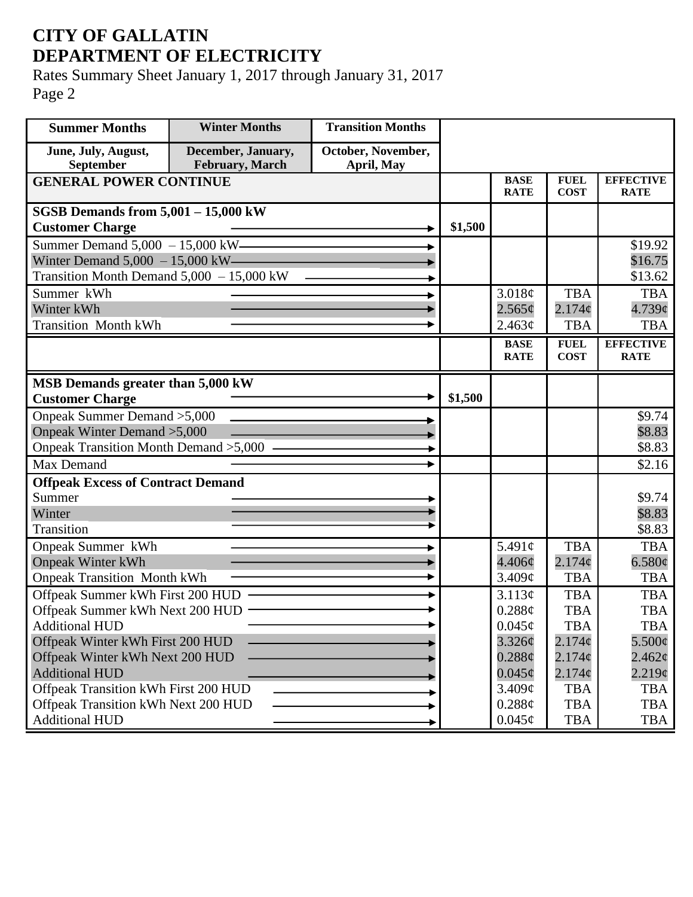## **CITY OF GALLATIN DEPARTMENT OF ELECTRICITY**

Rates Summary Sheet January 1, 2017 through January 31, 2017 Page 2

| <b>Summer Months</b>                                       | <b>Winter Months</b>                  | <b>Transition Months</b>         |         |                            |                            |                                 |
|------------------------------------------------------------|---------------------------------------|----------------------------------|---------|----------------------------|----------------------------|---------------------------------|
| June, July, August,<br>September                           | December, January,<br>February, March | October, November,<br>April, May |         |                            |                            |                                 |
| <b>GENERAL POWER CONTINUE</b>                              |                                       |                                  |         | <b>BASE</b><br><b>RATE</b> | <b>FUEL</b><br><b>COST</b> | <b>EFFECTIVE</b><br><b>RATE</b> |
| SGSB Demands from $5,001 - 15,000$ kW                      |                                       |                                  |         |                            |                            |                                 |
| <b>Customer Charge</b>                                     |                                       |                                  | \$1,500 |                            |                            |                                 |
| Summer Demand $5,000 - 15,000$ kW-                         |                                       |                                  |         |                            |                            | \$19.92                         |
| Winter Demand $5,000 - 15,000$ kW—                         |                                       |                                  |         |                            |                            | \$16.75                         |
| Transition Month Demand $5,000 - 15,000$ kW                |                                       |                                  |         |                            |                            | \$13.62                         |
| Summer kWh                                                 |                                       |                                  |         | 3.018¢                     | <b>TBA</b>                 | <b>TBA</b>                      |
| Winter kWh                                                 |                                       |                                  |         | 2.565¢                     | 2.174c                     | $4.739$ ¢                       |
| <b>Transition Month kWh</b>                                |                                       |                                  |         | 2.463¢                     | <b>TBA</b>                 | <b>TBA</b>                      |
|                                                            |                                       |                                  |         | <b>BASE</b><br><b>RATE</b> | <b>FUEL</b><br><b>COST</b> | <b>EFFECTIVE</b><br><b>RATE</b> |
|                                                            |                                       |                                  |         |                            |                            |                                 |
| MSB Demands greater than 5,000 kW                          |                                       |                                  |         |                            |                            |                                 |
| <b>Customer Charge</b>                                     |                                       |                                  | \$1,500 |                            |                            |                                 |
| Onpeak Summer Demand > 5,000                               |                                       |                                  |         |                            |                            | \$9.74                          |
| Onpeak Winter Demand > 5,000                               |                                       |                                  |         |                            |                            | \$8.83                          |
| Onpeak Transition Month Demand > 5,000 -                   |                                       |                                  |         |                            |                            | \$8.83                          |
| Max Demand                                                 |                                       |                                  |         |                            |                            | \$2.16                          |
| <b>Offpeak Excess of Contract Demand</b>                   |                                       |                                  |         |                            |                            |                                 |
| Summer                                                     |                                       |                                  |         |                            |                            | \$9.74                          |
| Winter                                                     |                                       |                                  |         |                            |                            | \$8.83                          |
| <b>Transition</b>                                          |                                       |                                  |         |                            |                            | \$8.83                          |
| Onpeak Summer kWh                                          |                                       |                                  |         | 5.491 $\phi$               | <b>TBA</b>                 | <b>TBA</b>                      |
| <b>Onpeak Winter kWh</b>                                   |                                       |                                  |         | $4.406\phi$                | 2.174c                     | 6.580¢                          |
| <b>Onpeak Transition Month kWh</b>                         |                                       |                                  |         | 3.409¢                     | <b>TBA</b>                 | <b>TBA</b>                      |
| Offpeak Summer kWh First 200 HUD                           |                                       |                                  |         | 3.113¢                     | <b>TBA</b>                 | <b>TBA</b>                      |
| Offpeak Summer kWh Next 200 HUD -<br><b>Additional HUD</b> |                                       |                                  |         | 0.288¢<br>$0.045\phi$      | <b>TBA</b><br><b>TBA</b>   | <b>TBA</b><br><b>TBA</b>        |
| Offpeak Winter kWh First 200 HUD                           |                                       |                                  |         | 3.326¢                     | 2.174¢                     | $5.500\phi$                     |
| Offpeak Winter kWh Next 200 HUD                            |                                       |                                  |         | $0.288\ell$                | $2.174\phi$                | $2.462\varphi$                  |
| <b>Additional HUD</b>                                      |                                       |                                  |         | $0.045\phi$                | $2.174\phi$                | 2.219¢                          |
| Offpeak Transition kWh First 200 HUD                       |                                       |                                  |         | 3.409¢                     | <b>TBA</b>                 | <b>TBA</b>                      |
| Offpeak Transition kWh Next 200 HUD                        |                                       |                                  |         | 0.288¢                     | <b>TBA</b>                 | <b>TBA</b>                      |
| <b>Additional HUD</b>                                      |                                       |                                  |         | $0.045\phi$                | <b>TBA</b>                 | TBA                             |